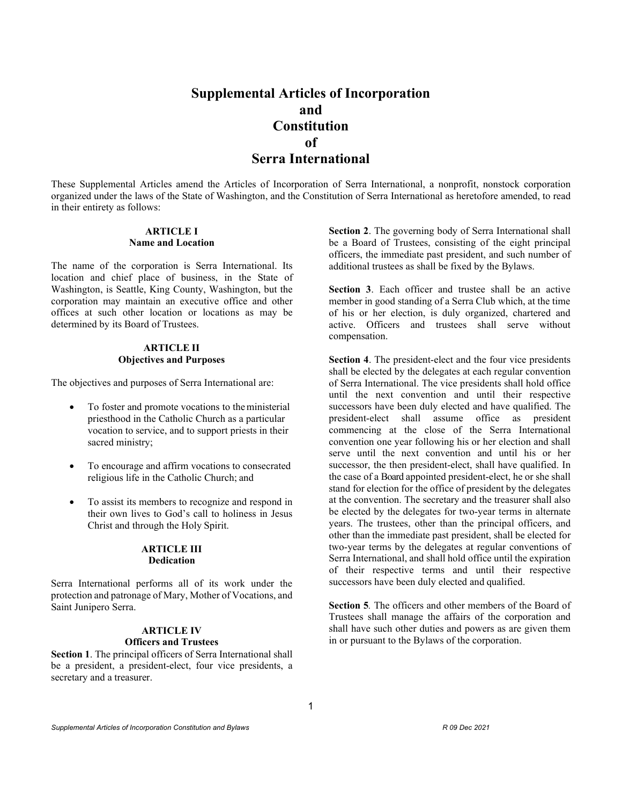# **Supplemental Articles of Incorporation and Constitution of Serra International**

These Supplemental Articles amend the Articles of Incorporation of Serra International, a nonprofit, nonstock corporation organized under the laws of the State of Washington, and the Constitution of Serra International as heretofore amended, to read in their entirety as follows:

# **ARTICLE I Name and Location**

The name of the corporation is Serra International. Its location and chief place of business, in the State of Washington, is Seattle, King County, Washington, but the corporation may maintain an executive office and other offices at such other location or locations as may be determined by its Board of Trustees.

# **ARTICLE II Objectives and Purposes**

The objectives and purposes of Serra International are:

- To foster and promote vocations to the ministerial priesthood in the Catholic Church as a particular vocation to service, and to support priests in their sacred ministry;
- To encourage and affirm vocations to consecrated religious life in the Catholic Church; and
- To assist its members to recognize and respond in their own lives to God's call to holiness in Jesus Christ and through the Holy Spirit.

#### **ARTICLE III Dedication**

Serra International performs all of its work under the protection and patronage of Mary, Mother of Vocations, and Saint Junipero Serra.

# **ARTICLE IV Officers and Trustees**

**Section 1**. The principal officers of Serra International shall be a president, a president-elect, four vice presidents, a secretary and a treasurer.

**Section 2**. The governing body of Serra International shall be a Board of Trustees, consisting of the eight principal officers, the immediate past president, and such number of additional trustees as shall be fixed by the Bylaws.

**Section 3**. Each officer and trustee shall be an active member in good standing of a Serra Club which, at the time of his or her election, is duly organized, chartered and active. Officers and trustees shall serve without compensation.

**Section 4**. The president-elect and the four vice presidents shall be elected by the delegates at each regular convention of Serra International. The vice presidents shall hold office until the next convention and until their respective successors have been duly elected and have qualified. The president-elect shall assume office as president commencing at the close of the Serra International convention one year following his or her election and shall serve until the next convention and until his or her successor, the then president-elect, shall have qualified. In the case of a Board appointed president-elect, he or she shall stand for election for the office of president by the delegates at the convention. The secretary and the treasurer shall also be elected by the delegates for two-year terms in alternate years. The trustees, other than the principal officers, and other than the immediate past president, shall be elected for two-year terms by the delegates at regular conventions of Serra International, and shall hold office until the expiration of their respective terms and until their respective successors have been duly elected and qualified.

**Section 5***.* The officers and other members of the Board of Trustees shall manage the affairs of the corporation and shall have such other duties and powers as are given them in or pursuant to the Bylaws of the corporation.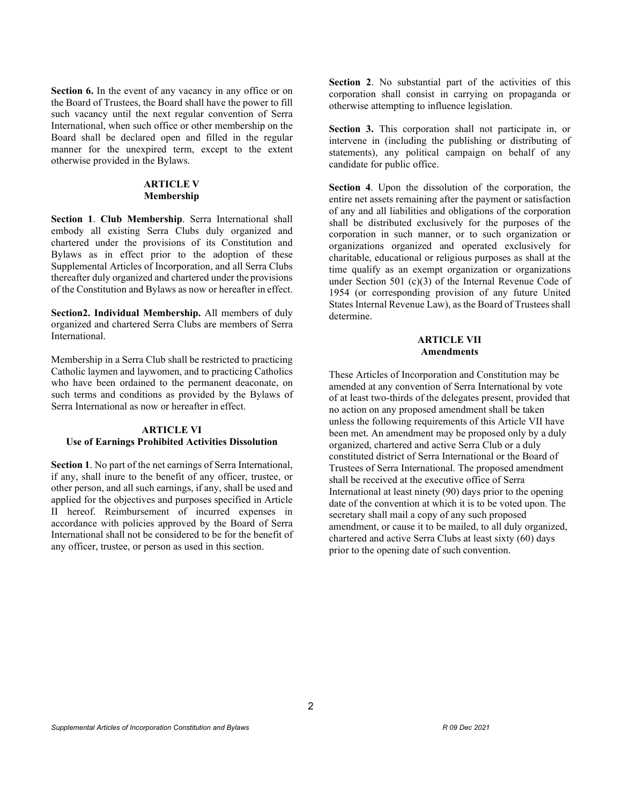**Section 6.** In the event of any vacancy in any office or on the Board of Trustees, the Board shall have the power to fill such vacancy until the next regular convention of Serra International, when such office or other membership on the Board shall be declared open and filled in the regular manner for the unexpired term, except to the extent otherwise provided in the Bylaws.

# **ARTICLE V Membership**

**Section 1**. **Club Membership**. Serra International shall embody all existing Serra Clubs duly organized and chartered under the provisions of its Constitution and Bylaws as in effect prior to the adoption of these Supplemental Articles of Incorporation, and all Serra Clubs thereafter duly organized and chartered under the provisions of the Constitution and Bylaws as now or hereafter in effect.

**Section2. Individual Membership.** All members of duly organized and chartered Serra Clubs are members of Serra International.

Membership in a Serra Club shall be restricted to practicing Catholic laymen and laywomen, and to practicing Catholics who have been ordained to the permanent deaconate, on such terms and conditions as provided by the Bylaws of Serra International as now or hereafter in effect.

# **ARTICLE VI Use of Earnings Prohibited Activities Dissolution**

**Section 1**. No part of the net earnings of Serra International, if any, shall inure to the benefit of any officer, trustee, or other person, and all such earnings, if any, shall be used and applied for the objectives and purposes specified in Article II hereof. Reimbursement of incurred expenses in accordance with policies approved by the Board of Serra International shall not be considered to be for the benefit of any officer, trustee, or person as used in this section.

**Section 2**. No substantial part of the activities of this corporation shall consist in carrying on propaganda or otherwise attempting to influence legislation.

**Section 3.** This corporation shall not participate in, or intervene in (including the publishing or distributing of statements), any political campaign on behalf of any candidate for public office.

**Section 4**. Upon the dissolution of the corporation, the entire net assets remaining after the payment or satisfaction of any and all liabilities and obligations of the corporation shall be distributed exclusively for the purposes of the corporation in such manner, or to such organization or organizations organized and operated exclusively for charitable, educational or religious purposes as shall at the time qualify as an exempt organization or organizations under Section 501 (c)(3) of the Internal Revenue Code of 1954 (or corresponding provision of any future United States Internal Revenue Law), as the Board of Trustees shall determine.

# **ARTICLE VII Amendments**

These Articles of Incorporation and Constitution may be amended at any convention of Serra International by vote of at least two-thirds of the delegates present, provided that no action on any proposed amendment shall be taken unless the following requirements of this Article VII have been met. An amendment may be proposed only by a duly organized, chartered and active Serra Club or a duly constituted district of Serra International or the Board of Trustees of Serra International. The proposed amendment shall be received at the executive office of Serra International at least ninety (90) days prior to the opening date of the convention at which it is to be voted upon. The secretary shall mail a copy of any such proposed amendment, or cause it to be mailed, to all duly organized, chartered and active Serra Clubs at least sixty (60) days prior to the opening date of such convention.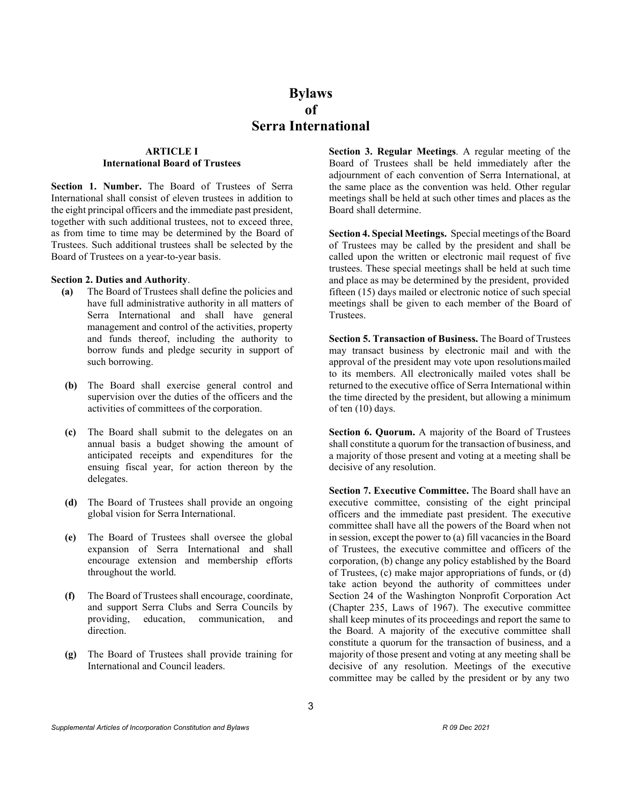# **Bylaws of Serra International**

# **ARTICLE I International Board of Trustees**

Section 1. Number. The Board of Trustees of Serra International shall consist of eleven trustees in addition to the eight principal officers and the immediate past president, together with such additional trustees, not to exceed three, as from time to time may be determined by the Board of Trustees. Such additional trustees shall be selected by the Board of Trustees on a year-to-year basis.

#### **Section 2. Duties and Authority**.

- **(a)** The Board of Trustees shall define the policies and have full administrative authority in all matters of Serra International and shall have general management and control of the activities, property and funds thereof, including the authority to borrow funds and pledge security in support of such borrowing.
- **(b)** The Board shall exercise general control and supervision over the duties of the officers and the activities of committees of the corporation.
- **(c)** The Board shall submit to the delegates on an annual basis a budget showing the amount of anticipated receipts and expenditures for the ensuing fiscal year, for action thereon by the delegates.
- **(d)** The Board of Trustees shall provide an ongoing global vision for Serra International.
- **(e)** The Board of Trustees shall oversee the global expansion of Serra International and shall encourage extension and membership efforts throughout the world.
- **(f)** The Board of Trustees shall encourage, coordinate, and support Serra Clubs and Serra Councils by providing, education, communication, and direction.
- **(g)** The Board of Trustees shall provide training for International and Council leaders.

**Section 3. Regular Meetings**. A regular meeting of the Board of Trustees shall be held immediately after the adjournment of each convention of Serra International, at the same place as the convention was held. Other regular meetings shall be held at such other times and places as the Board shall determine.

**Section 4. Special Meetings.** Special meetings of the Board of Trustees may be called by the president and shall be called upon the written or electronic mail request of five trustees. These special meetings shall be held at such time and place as may be determined by the president, provided fifteen (15) days mailed or electronic notice of such special meetings shall be given to each member of the Board of Trustees.

**Section 5. Transaction of Business.** The Board of Trustees may transact business by electronic mail and with the approval of the president may vote upon resolutionsmailed to its members. All electronically mailed votes shall be returned to the executive office of Serra International within the time directed by the president, but allowing a minimum of ten (10) days.

**Section 6. Quorum.** A majority of the Board of Trustees shall constitute a quorum for the transaction of business, and a majority of those present and voting at a meeting shall be decisive of any resolution.

**Section 7. Executive Committee.** The Board shall have an executive committee, consisting of the eight principal officers and the immediate past president. The executive committee shall have all the powers of the Board when not in session, except the power to  $(a)$  fill vacancies in the Board of Trustees, the executive committee and officers of the corporation, (b) change any policy established by the Board of Trustees, (c) make major appropriations of funds, or (d) take action beyond the authority of committees under Section 24 of the Washington Nonprofit Corporation Act (Chapter 235, Laws of 1967). The executive committee shall keep minutes of its proceedings and report the same to the Board. A majority of the executive committee shall constitute a quorum for the transaction of business, and a majority of those present and voting at any meeting shall be decisive of any resolution. Meetings of the executive committee may be called by the president or by any two

*Supplemental Articles of Incorporation Constitution and Bylaws R 09 Dec 2021*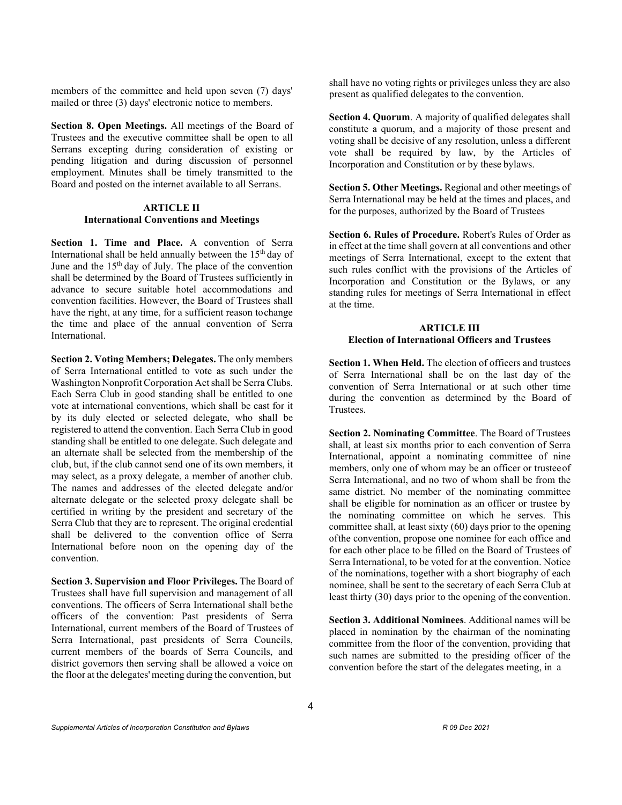members of the committee and held upon seven (7) days' mailed or three (3) days' electronic notice to members.

**Section 8. Open Meetings.** All meetings of the Board of Trustees and the executive committee shall be open to all Serrans excepting during consideration of existing or pending litigation and during discussion of personnel employment. Minutes shall be timely transmitted to the Board and posted on the internet available to all Serrans.

#### **ARTICLE II International Conventions and Meetings**

**Section 1. Time and Place.** A convention of Serra International shall be held annually between the 15<sup>th</sup> day of June and the  $15<sup>th</sup>$  day of July. The place of the convention shall be determined by the Board of Trustees sufficiently in advance to secure suitable hotel accommodations and convention facilities. However, the Board of Trustees shall have the right, at any time, for a sufficient reason tochange the time and place of the annual convention of Serra International.

**Section 2. Voting Members; Delegates.** The only members of Serra International entitled to vote as such under the Washington Nonprofit Corporation Actshall be Serra Clubs. Each Serra Club in good standing shall be entitled to one vote at international conventions, which shall be cast for it by its duly elected or selected delegate, who shall be registered to attend the convention. Each Serra Club in good standing shall be entitled to one delegate. Such delegate and an alternate shall be selected from the membership of the club, but, if the club cannot send one of its own members, it may select, as a proxy delegate, a member of another club. The names and addresses of the elected delegate and/or alternate delegate or the selected proxy delegate shall be certified in writing by the president and secretary of the Serra Club that they are to represent. The original credential shall be delivered to the convention office of Serra International before noon on the opening day of the convention.

**Section 3. Supervision and Floor Privileges.** The Board of Trustees shall have full supervision and management of all conventions. The officers of Serra International shall bethe officers of the convention: Past presidents of Serra International, current members of the Board of Trustees of Serra International, past presidents of Serra Councils, current members of the boards of Serra Councils, and district governors then serving shall be allowed a voice on the floor at the delegates' meeting during the convention, but

shall have no voting rights or privileges unless they are also present as qualified delegates to the convention.

**Section 4. Quorum**. A majority of qualified delegates shall constitute a quorum, and a majority of those present and voting shall be decisive of any resolution, unless a different vote shall be required by law, by the Articles of Incorporation and Constitution or by these bylaws.

**Section 5. Other Meetings.** Regional and other meetings of Serra International may be held at the times and places, and for the purposes, authorized by the Board of Trustees

**Section 6. Rules of Procedure.** Robert's Rules of Order as in effect at the time shall govern at all conventions and other meetings of Serra International, except to the extent that such rules conflict with the provisions of the Articles of Incorporation and Constitution or the Bylaws, or any standing rules for meetings of Serra International in effect at the time.

### **ARTICLE III Election of International Officers and Trustees**

**Section 1. When Held.** The election of officers and trustees of Serra International shall be on the last day of the convention of Serra International or at such other time during the convention as determined by the Board of Trustees.

**Section 2. Nominating Committee**. The Board of Trustees shall, at least six months prior to each convention of Serra International, appoint a nominating committee of nine members, only one of whom may be an officer or trusteeof Serra International, and no two of whom shall be from the same district. No member of the nominating committee shall be eligible for nomination as an officer or trustee by the nominating committee on which he serves. This committee shall, at least sixty (60) days prior to the opening ofthe convention, propose one nominee for each office and for each other place to be filled on the Board of Trustees of Serra International, to be voted for at the convention. Notice of the nominations, together with a short biography of each nominee, shall be sent to the secretary of each Serra Club at least thirty (30) days prior to the opening of the convention.

**Section 3. Additional Nominees**. Additional names will be placed in nomination by the chairman of the nominating committee from the floor of the convention, providing that such names are submitted to the presiding officer of the convention before the start of the delegates meeting, in a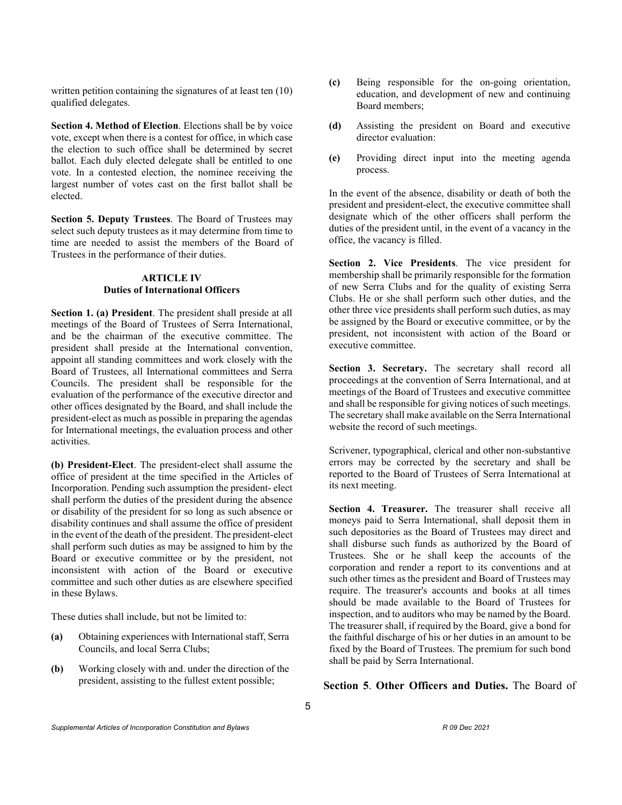written petition containing the signatures of at least ten (10) qualified delegates.

**Section 4. Method of Election**. Elections shall be by voice vote, except when there is a contest for office, in which case the election to such office shall be determined by secret ballot. Each duly elected delegate shall be entitled to one vote. In a contested election, the nominee receiving the largest number of votes cast on the first ballot shall be elected.

**Section 5. Deputy Trustees**. The Board of Trustees may select such deputy trustees as it may determine from time to time are needed to assist the members of the Board of Trustees in the performance of their duties.

## **ARTICLE IV Duties of International Officers**

**Section 1. (a) President**. The president shall preside at all meetings of the Board of Trustees of Serra International, and be the chairman of the executive committee. The president shall preside at the International convention, appoint all standing committees and work closely with the Board of Trustees, all International committees and Serra Councils. The president shall be responsible for the evaluation of the performance of the executive director and other offices designated by the Board, and shall include the president-elect as much as possible in preparing the agendas for International meetings, the evaluation process and other activities.

**(b) President-Elect**. The president-elect shall assume the office of president at the time specified in the Articles of Incorporation. Pending such assumption the president- elect shall perform the duties of the president during the absence or disability of the president for so long as such absence or disability continues and shall assume the office of president in the event of the death of the president. The president-elect shall perform such duties as may be assigned to him by the Board or executive committee or by the president, not inconsistent with action of the Board or executive committee and such other duties as are elsewhere specified in these Bylaws.

These duties shall include, but not be limited to:

- **(a)** Obtaining experiences with International staff, Serra Councils, and local Serra Clubs;
- **(b)** Working closely with and. under the direction of the president, assisting to the fullest extent possible;
- **(c)** Being responsible for the on-going orientation, education, and development of new and continuing Board members;
- **(d)** Assisting the president on Board and executive director evaluation:
- **(e)** Providing direct input into the meeting agenda process.

In the event of the absence, disability or death of both the president and president-elect, the executive committee shall designate which of the other officers shall perform the duties of the president until, in the event of a vacancy in the office, the vacancy is filled.

**Section 2. Vice Presidents**. The vice president for membership shall be primarily responsible for the formation of new Serra Clubs and for the quality of existing Serra Clubs. He or she shall perform such other duties, and the other three vice presidents shall perform such duties, as may be assigned by the Board or executive committee, or by the president, not inconsistent with action of the Board or executive committee.

**Section 3. Secretary.** The secretary shall record all proceedings at the convention of Serra International, and at meetings of the Board of Trustees and executive committee and shall be responsible for giving notices of such meetings. The secretary shall make available on the Serra International website the record of such meetings.

Scrivener, typographical, clerical and other non-substantive errors may be corrected by the secretary and shall be reported to the Board of Trustees of Serra International at its next meeting.

**Section 4. Treasurer.** The treasurer shall receive all moneys paid to Serra International, shall deposit them in such depositories as the Board of Trustees may direct and shall disburse such funds as authorized by the Board of Trustees. She or he shall keep the accounts of the corporation and render a report to its conventions and at such other times as the president and Board of Trustees may require. The treasurer's accounts and books at all times should be made available to the Board of Trustees for inspection, and to auditors who may be named by the Board. The treasurer shall, if required by the Board, give a bond for the faithful discharge of his or her duties in an amount to be fixed by the Board of Trustees. The premium for such bond shall be paid by Serra International.

# **Section 5**. **Other Officers and Duties.** The Board of

*Supplemental Articles of Incorporation Constitution and Bylaws R 09 Dec 2021*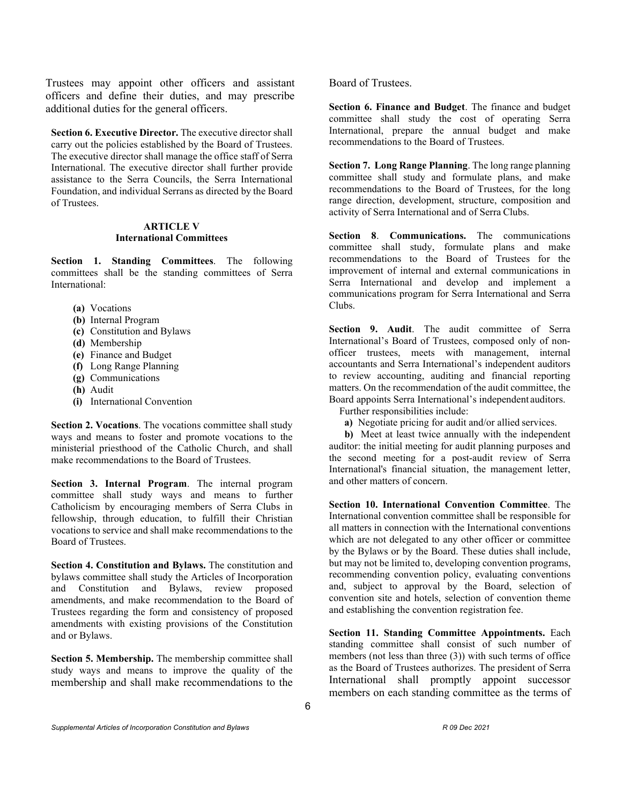Trustees may appoint other officers and assistant officers and define their duties, and may prescribe additional duties for the general officers.

**Section 6. Executive Director.** The executive director shall carry out the policies established by the Board of Trustees. The executive director shall manage the office staff of Serra International. The executive director shall further provide assistance to the Serra Councils, the Serra International Foundation, and individual Serrans as directed by the Board of Trustees.

# **ARTICLE V International Committees**

**Section 1. Standing Committees**. The following committees shall be the standing committees of Serra International:

- **(a)** Vocations
- **(b)** Internal Program
- **(c)** Constitution and Bylaws
- **(d)** Membership
- **(e)** Finance and Budget
- **(f)** Long Range Planning
- **(g)** Communications
- **(h)** Audit
- **(i)** International Convention

**Section 2. Vocations**. The vocations committee shall study ways and means to foster and promote vocations to the ministerial priesthood of the Catholic Church, and shall make recommendations to the Board of Trustees.

**Section 3. Internal Program**. The internal program committee shall study ways and means to further Catholicism by encouraging members of Serra Clubs in fellowship, through education, to fulfill their Christian vocations to service and shall make recommendations to the Board of Trustees.

**Section 4. Constitution and Bylaws.** The constitution and bylaws committee shall study the Articles of Incorporation and Constitution and Bylaws, review proposed amendments, and make recommendation to the Board of Trustees regarding the form and consistency of proposed amendments with existing provisions of the Constitution and or Bylaws.

**Section 5. Membership.** The membership committee shall study ways and means to improve the quality of the membership and shall make recommendations to the Board of Trustees.

**Section 6. Finance and Budget**. The finance and budget committee shall study the cost of operating Serra International, prepare the annual budget and make recommendations to the Board of Trustees.

**Section 7. Long Range Planning**. The long range planning committee shall study and formulate plans, and make recommendations to the Board of Trustees, for the long range direction, development, structure, composition and activity of Serra International and of Serra Clubs.

**Section 8**. **Communications.** The communications committee shall study, formulate plans and make recommendations to the Board of Trustees for the improvement of internal and external communications in Serra International and develop and implement a communications program for Serra International and Serra Clubs.

Section 9. Audit. The audit committee of Serra International's Board of Trustees, composed only of nonofficer trustees, meets with management, internal accountants and Serra International's independent auditors to review accounting, auditing and financial reporting matters. On the recommendation of the audit committee, the Board appoints Serra International's independent auditors.

Further responsibilities include:

**a)** Negotiate pricing for audit and/or allied services.

**b)** Meet at least twice annually with the independent auditor: the initial meeting for audit planning purposes and the second meeting for a post-audit review of Serra International's financial situation, the management letter, and other matters of concern.

**Section 10. International Convention Committee**. The International convention committee shall be responsible for all matters in connection with the International conventions which are not delegated to any other officer or committee by the Bylaws or by the Board. These duties shall include, but may not be limited to, developing convention programs, recommending convention policy, evaluating conventions and, subject to approval by the Board, selection of convention site and hotels, selection of convention theme and establishing the convention registration fee.

**Section 11. Standing Committee Appointments.** Each standing committee shall consist of such number of members (not less than three (3)) with such terms of office as the Board of Trustees authorizes. The president of Serra International shall promptly appoint successor members on each standing committee as the terms of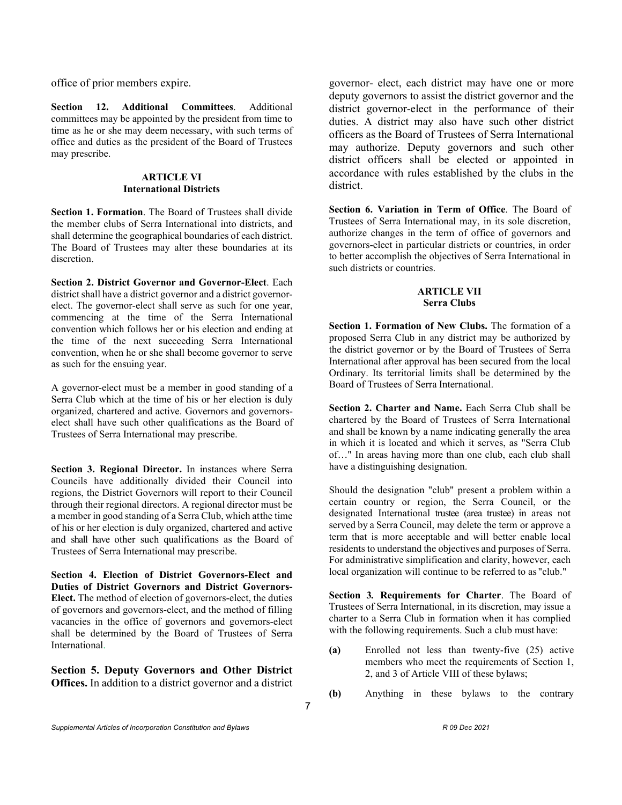office of prior members expire.

**Section 12. Additional Committees**. Additional committees may be appointed by the president from time to time as he or she may deem necessary, with such terms of office and duties as the president of the Board of Trustees may prescribe.

## **ARTICLE VI International Districts**

**Section 1. Formation**. The Board of Trustees shall divide the member clubs of Serra International into districts, and shall determine the geographical boundaries of each district. The Board of Trustees may alter these boundaries at its discretion.

**Section 2. District Governor and Governor-Elect**. Each district shall have a district governor and a district governorelect. The governor-elect shall serve as such for one year, commencing at the time of the Serra International convention which follows her or his election and ending at the time of the next succeeding Serra International convention, when he or she shall become governor to serve as such for the ensuing year.

A governor-elect must be a member in good standing of a Serra Club which at the time of his or her election is duly organized, chartered and active. Governors and governorselect shall have such other qualifications as the Board of Trustees of Serra International may prescribe.

**Section 3. Regional Director.** In instances where Serra Councils have additionally divided their Council into regions, the District Governors will report to their Council through their regional directors. A regional director must be a member in good standing of a Serra Club, which atthe time of his or her election is duly organized, chartered and active and shall have other such qualifications as the Board of Trustees of Serra International may prescribe.

**Section 4. Election of District Governors-Elect and Duties of District Governors and District Governors-Elect.** The method of election of governors-elect, the duties of governors and governors-elect, and the method of filling vacancies in the office of governors and governors-elect shall be determined by the Board of Trustees of Serra International.

**Section 5. Deputy Governors and Other District Offices.** In addition to a district governor and a district

governor- elect, each district may have one or more deputy governors to assist the district governor and the district governor-elect in the performance of their duties. A district may also have such other district officers as the Board of Trustees of Serra International may authorize. Deputy governors and such other district officers shall be elected or appointed in accordance with rules established by the clubs in the district.

**Section 6. Variation in Term of Office**. The Board of Trustees of Serra International may, in its sole discretion, authorize changes in the term of office of governors and governors-elect in particular districts or countries, in order to better accomplish the objectives of Serra International in such districts or countries.

# **ARTICLE VII Serra Clubs**

**Section 1. Formation of New Clubs.** The formation of a proposed Serra Club in any district may be authorized by the district governor or by the Board of Trustees of Serra International after approval has been secured from the local Ordinary. Its territorial limits shall be determined by the Board of Trustees of Serra International.

**Section 2. Charter and Name.** Each Serra Club shall be chartered by the Board of Trustees of Serra International and shall be known by a name indicating generally the area in which it is located and which it serves, as "Serra Club of…" In areas having more than one club, each club shall have a distinguishing designation.

Should the designation "club" present a problem within a certain country or region, the Serra Council, or the designated International trustee (area trustee) in areas not served by a Serra Council, may delete the term or approve a term that is more acceptable and will better enable local residents to understand the objectives and purposes of Serra. For administrative simplification and clarity, however, each local organization will continue to be referred to as "club."

**Section 3***.* **Requirements for Charter**. The Board of Trustees of Serra International, in its discretion, may issue a charter to a Serra Club in formation when it has complied with the following requirements. Such a club must have:

- **(a)** Enrolled not less than twenty-five (25) active members who meet the requirements of Section 1, 2, and 3 of Article VIII of these bylaws;
- **(b)** Anything in these bylaws to the contrary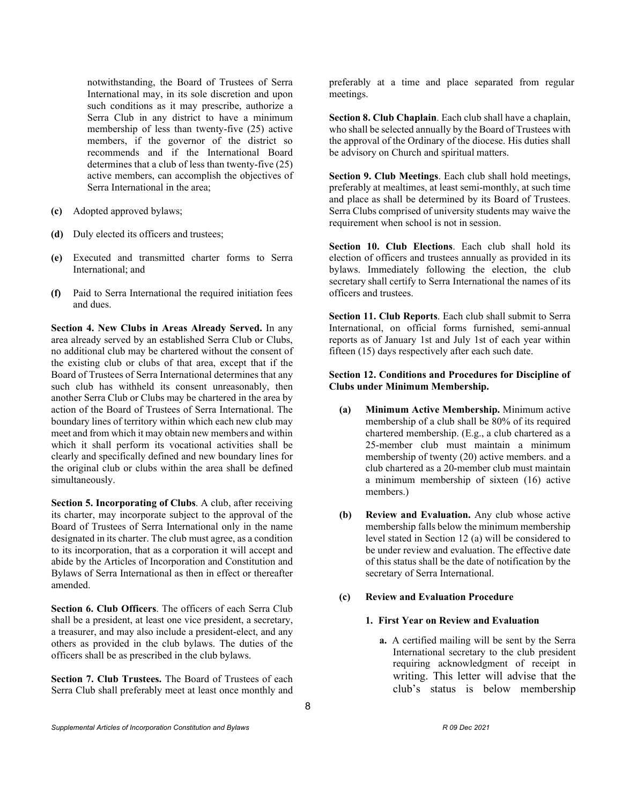notwithstanding, the Board of Trustees of Serra International may, in its sole discretion and upon such conditions as it may prescribe, authorize a Serra Club in any district to have a minimum membership of less than twenty-five (25) active members, if the governor of the district so recommends and if the International Board determines that a club of less than twenty-five (25) active members, can accomplish the objectives of Serra International in the area;

- **(c)** Adopted approved bylaws;
- **(d)** Duly elected its officers and trustees;
- **(e)** Executed and transmitted charter forms to Serra International; and
- **(f)** Paid to Serra International the required initiation fees and dues.

**Section 4. New Clubs in Areas Already Served.** In any area already served by an established Serra Club or Clubs, no additional club may be chartered without the consent of the existing club or clubs of that area, except that if the Board of Trustees of Serra International determines that any such club has withheld its consent unreasonably, then another Serra Club or Clubs may be chartered in the area by action of the Board of Trustees of Serra International. The boundary lines of territory within which each new club may meet and from which it may obtain new members and within which it shall perform its vocational activities shall be clearly and specifically defined and new boundary lines for the original club or clubs within the area shall be defined simultaneously.

**Section 5. Incorporating of Clubs**. A club, after receiving its charter, may incorporate subject to the approval of the Board of Trustees of Serra International only in the name designated in its charter. The club must agree, as a condition to its incorporation, that as a corporation it will accept and abide by the Articles of Incorporation and Constitution and Bylaws of Serra International as then in effect or thereafter amended.

**Section 6. Club Officers**. The officers of each Serra Club shall be a president, at least one vice president, a secretary, a treasurer, and may also include a president-elect, and any others as provided in the club bylaws. The duties of the officers shall be as prescribed in the club bylaws.

**Section 7. Club Trustees.** The Board of Trustees of each Serra Club shall preferably meet at least once monthly and preferably at a time and place separated from regular meetings.

**Section 8. Club Chaplain**. Each club shall have a chaplain, who shall be selected annually by the Board of Trustees with the approval of the Ordinary of the diocese. His duties shall be advisory on Church and spiritual matters.

**Section 9. Club Meetings**. Each club shall hold meetings, preferably at mealtimes, at least semi-monthly, at such time and place as shall be determined by its Board of Trustees. Serra Clubs comprised of university students may waive the requirement when school is not in session.

**Section 10. Club Elections**. Each club shall hold its election of officers and trustees annually as provided in its bylaws. Immediately following the election, the club secretary shall certify to Serra International the names of its officers and trustees.

**Section 11. Club Reports**. Each club shall submit to Serra International, on official forms furnished, semi-annual reports as of January 1st and July 1st of each year within fifteen (15) days respectively after each such date.

# **Section 12. Conditions and Procedures for Discipline of Clubs under Minimum Membership.**

- **(a) Minimum Active Membership.** Minimum active membership of a club shall be 80% of its required chartered membership. (E.g., a club chartered as a 25-member club must maintain a minimum membership of twenty (20) active members. and a club chartered as a 20-member club must maintain a minimum membership of sixteen (16) active members.)
- **(b) Review and Evaluation.** Any club whose active membership falls below the minimum membership level stated in Section 12 (a) will be considered to be under review and evaluation. The effective date of this status shall be the date of notification by the secretary of Serra International.

# **(c) Review and Evaluation Procedure**

# **1. First Year on Review and Evaluation**

**a.** A certified mailing will be sent by the Serra International secretary to the club president requiring acknowledgment of receipt in writing. This letter will advise that the club's status is below membership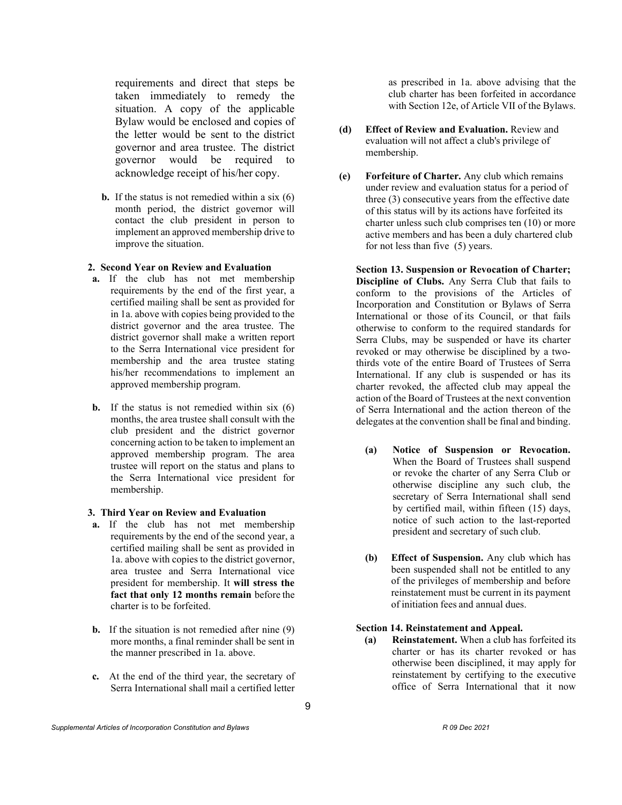requirements and direct that steps be taken immediately to remedy the situation. A copy of the applicable Bylaw would be enclosed and copies of the letter would be sent to the district governor and area trustee. The district governor would be required to acknowledge receipt of his/her copy.

**b.** If the status is not remedied within a six (6) month period, the district governor will contact the club president in person to implement an approved membership drive to improve the situation.

#### **2. Second Year on Review and Evaluation**

- **a.** If the club has not met membership requirements by the end of the first year, a certified mailing shall be sent as provided for in 1a. above with copies being provided to the district governor and the area trustee. The district governor shall make a written report to the Serra International vice president for membership and the area trustee stating his/her recommendations to implement an approved membership program.
- **b.** If the status is not remedied within six (6) months, the area trustee shall consult with the club president and the district governor concerning action to be taken to implement an approved membership program. The area trustee will report on the status and plans to the Serra International vice president for membership.

## **3. Third Year on Review and Evaluation**

- **a.** If the club has not met membership requirements by the end of the second year, a certified mailing shall be sent as provided in 1a. above with copies to the district governor, area trustee and Serra International vice president for membership. It **will stress the fact that only 12 months remain** before the charter is to be forfeited.
- **b.** If the situation is not remedied after nine (9) more months, a final reminder shall be sent in the manner prescribed in 1a. above.
- **c.** At the end of the third year, the secretary of Serra International shall mail a certified letter

as prescribed in 1a. above advising that the club charter has been forfeited in accordance with Section 12e, of Article VII of the Bylaws.

- **(d) Effect of Review and Evaluation.** Review and evaluation will not affect a club's privilege of membership.
- **(e) Forfeiture of Charter.** Any club which remains under review and evaluation status for a period of three (3) consecutive years from the effective date of this status will by its actions have forfeited its charter unless such club comprises ten (10) or more active members and has been a duly chartered club for not less than five (5) years.

**Section 13. Suspension or Revocation of Charter; Discipline of Clubs.** Any Serra Club that fails to conform to the provisions of the Articles of Incorporation and Constitution or Bylaws of Serra International or those of its Council, or that fails otherwise to conform to the required standards for Serra Clubs, may be suspended or have its charter revoked or may otherwise be disciplined by a twothirds vote of the entire Board of Trustees of Serra International. If any club is suspended or has its charter revoked, the affected club may appeal the action of the Board of Trustees at the next convention of Serra International and the action thereon of the delegates at the convention shall be final and binding.

- **(a) Notice of Suspension or Revocation.** When the Board of Trustees shall suspend or revoke the charter of any Serra Club or otherwise discipline any such club, the secretary of Serra International shall send by certified mail, within fifteen (15) days, notice of such action to the last-reported president and secretary of such club.
- **(b) Effect of Suspension.** Any club which has been suspended shall not be entitled to any of the privileges of membership and before reinstatement must be current in its payment of initiation fees and annual dues.

# **Section 14. Reinstatement and Appeal.**

**(a) Reinstatement.** When a club has forfeited its charter or has its charter revoked or has otherwise been disciplined, it may apply for reinstatement by certifying to the executive office of Serra International that it now

9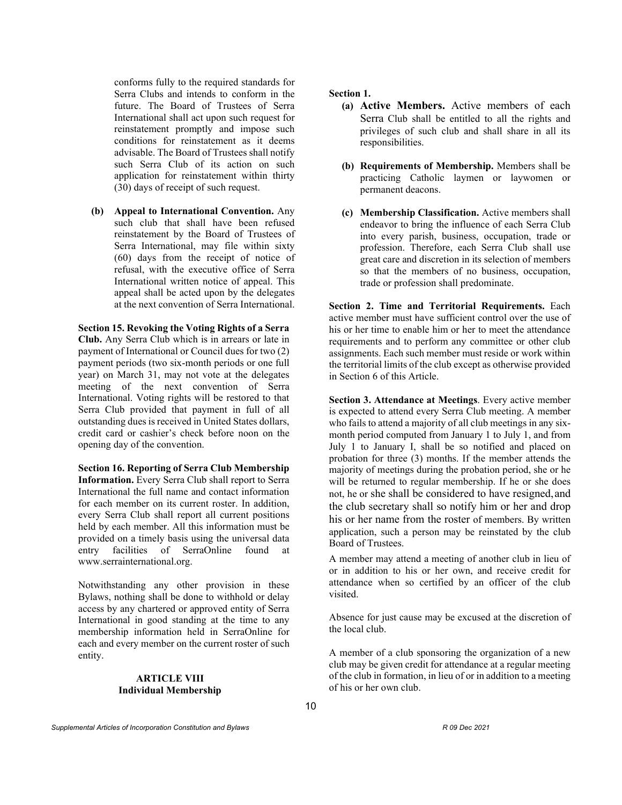conforms fully to the required standards for Serra Clubs and intends to conform in the future. The Board of Trustees of Serra International shall act upon such request for reinstatement promptly and impose such conditions for reinstatement as it deems advisable. The Board of Trustees shall notify such Serra Club of its action on such application for reinstatement within thirty (30) days of receipt of such request.

**(b) Appeal to International Convention.** Any such club that shall have been refused reinstatement by the Board of Trustees of Serra International, may file within sixty (60) days from the receipt of notice of refusal, with the executive office of Serra International written notice of appeal. This appeal shall be acted upon by the delegates at the next convention of Serra International.

**Section 15. Revoking the Voting Rights of a Serra Club.** Any Serra Club which is in arrears or late in payment of International or Council dues for two (2) payment periods (two six-month periods or one full year) on March 31, may not vote at the delegates meeting of the next convention of Serra International. Voting rights will be restored to that Serra Club provided that payment in full of all outstanding dues is received in United States dollars, credit card or cashier's check before noon on the opening day of the convention.

**Section 16. Reporting of Serra Club Membership Information.** Every Serra Club shall report to Serra International the full name and contact information for each member on its current roster. In addition, every Serra Club shall report all current positions held by each member. All this information must be provided on a timely basis using the universal data entry facilities of SerraOnline found at [www.serrainternational.org.](http://www.serrainternational.org/)

Notwithstanding any other provision in these Bylaws, nothing shall be done to withhold or delay access by any chartered or approved entity of Serra International in good standing at the time to any membership information held in SerraOnline for each and every member on the current roster of such entity.

## **ARTICLE VIII Individual Membership**

**Section 1.** 

- **(a) Active Members.** Active members of each Serra Club shall be entitled to all the rights and privileges of such club and shall share in all its responsibilities.
- **(b) Requirements of Membership.** Members shall be practicing Catholic laymen or laywomen or permanent deacons.
- **(c) Membership Classification.** Active members shall endeavor to bring the influence of each Serra Club into every parish, business, occupation, trade or profession. Therefore, each Serra Club shall use great care and discretion in its selection of members so that the members of no business, occupation, trade or profession shall predominate.

**Section 2. Time and Territorial Requirements.** Each active member must have sufficient control over the use of his or her time to enable him or her to meet the attendance requirements and to perform any committee or other club assignments. Each such member must reside or work within the territorial limits of the club except as otherwise provided in Section 6 of this Article.

**Section 3. Attendance at Meetings**. Every active member is expected to attend every Serra Club meeting. A member who fails to attend a majority of all club meetings in any sixmonth period computed from January 1 to July 1, and from July 1 to January I, shall be so notified and placed on probation for three (3) months. If the member attends the majority of meetings during the probation period, she or he will be returned to regular membership. If he or she does not, he or she shall be considered to have resigned,and the club secretary shall so notify him or her and drop his or her name from the roster of members. By written application, such a person may be reinstated by the club Board of Trustees.

A member may attend a meeting of another club in lieu of or in addition to his or her own, and receive credit for attendance when so certified by an officer of the club visited.

Absence for just cause may be excused at the discretion of the local club.

A member of a club sponsoring the organization of a new club may be given credit for attendance at a regular meeting of the club in formation, in lieu of or in addition to a meeting of his or her own club.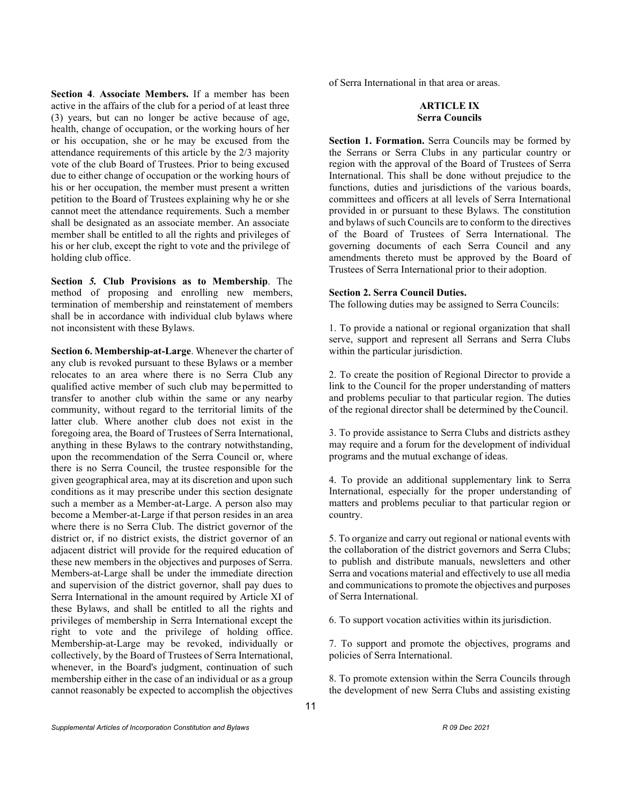**Section 4**. **Associate Members.** If a member has been active in the affairs of the club for a period of at least three (3) years, but can no longer be active because of age, health, change of occupation, or the working hours of her or his occupation, she or he may be excused from the attendance requirements of this article by the 2/3 majority vote of the club Board of Trustees. Prior to being excused due to either change of occupation or the working hours of his or her occupation, the member must present a written petition to the Board of Trustees explaining why he or she cannot meet the attendance requirements. Such a member shall be designated as an associate member. An associate member shall be entitled to all the rights and privileges of his or her club, except the right to vote and the privilege of holding club office.

**Section** *5.* **Club Provisions as to Membership**. The method of proposing and enrolling new members, termination of membership and reinstatement of members shall be in accordance with individual club bylaws where not inconsistent with these Bylaws.

**Section 6. Membership-at-Large**. Whenever the charter of any club is revoked pursuant to these Bylaws or a member relocates to an area where there is no Serra Club any qualified active member of such club may bepermitted to transfer to another club within the same or any nearby community, without regard to the territorial limits of the latter club. Where another club does not exist in the foregoing area, the Board of Trustees of Serra International, anything in these Bylaws to the contrary notwithstanding, upon the recommendation of the Serra Council or, where there is no Serra Council, the trustee responsible for the given geographical area, may at its discretion and upon such conditions as it may prescribe under this section designate such a member as a Member-at-Large. A person also may become a Member-at-Large if that person resides in an area where there is no Serra Club. The district governor of the district or, if no district exists, the district governor of an adjacent district will provide for the required education of these new members in the objectives and purposes of Serra. Members-at-Large shall be under the immediate direction and supervision of the district governor, shall pay dues to Serra International in the amount required by Article XI of these Bylaws, and shall be entitled to all the rights and privileges of membership in Serra International except the right to vote and the privilege of holding office. Membership-at-Large may be revoked, individually or collectively, by the Board of Trustees of Serra International, whenever, in the Board's judgment, continuation of such membership either in the case of an individual or as a group cannot reasonably be expected to accomplish the objectives

of Serra International in that area or areas.

# **ARTICLE IX Serra Councils**

**Section 1. Formation.** Serra Councils may be formed by the Serrans or Serra Clubs in any particular country or region with the approval of the Board of Trustees of Serra International. This shall be done without prejudice to the functions, duties and jurisdictions of the various boards, committees and officers at all levels of Serra International provided in or pursuant to these Bylaws. The constitution and bylaws of such Councils are to conform to the directives of the Board of Trustees of Serra International. The governing documents of each Serra Council and any amendments thereto must be approved by the Board of Trustees of Serra International prior to their adoption.

#### **Section 2. Serra Council Duties.**

The following duties may be assigned to Serra Councils:

1. To provide a national or regional organization that shall serve, support and represent all Serrans and Serra Clubs within the particular jurisdiction.

2. To create the position of Regional Director to provide a link to the Council for the proper understanding of matters and problems peculiar to that particular region. The duties of the regional director shall be determined by theCouncil.

3. To provide assistance to Serra Clubs and districts asthey may require and a forum for the development of individual programs and the mutual exchange of ideas.

4. To provide an additional supplementary link to Serra International, especially for the proper understanding of matters and problems peculiar to that particular region or country.

5. To organize and carry out regional or national events with the collaboration of the district governors and Serra Clubs; to publish and distribute manuals, newsletters and other Serra and vocations material and effectively to use all media and communications to promote the objectives and purposes of Serra International.

6. To support vocation activities within itsjurisdiction.

7. To support and promote the objectives, programs and policies of Serra International.

8. To promote extension within the Serra Councils through the development of new Serra Clubs and assisting existing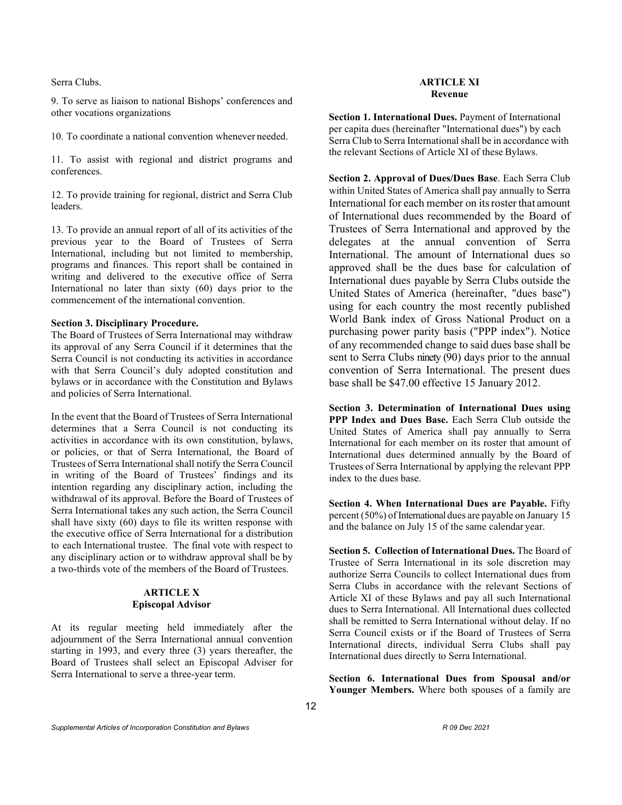Serra Clubs.

9. To serve as liaison to national Bishops' conferences and other vocations organizations

10. To coordinate a national convention whenever needed.

11. To assist with regional and district programs and conferences.

12. To provide training for regional, district and Serra Club leaders.

13. To provide an annual report of all of its activities of the previous year to the Board of Trustees of Serra International, including but not limited to membership, programs and finances. This report shall be contained in writing and delivered to the executive office of Serra International no later than sixty (60) days prior to the commencement of the international convention.

## **Section 3. Disciplinary Procedure.**

The Board of Trustees of Serra International may withdraw its approval of any Serra Council if it determines that the Serra Council is not conducting its activities in accordance with that Serra Council's duly adopted constitution and bylaws or in accordance with the Constitution and Bylaws and policies of Serra International.

In the event that the Board of Trustees of Serra International determines that a Serra Council is not conducting its activities in accordance with its own constitution, bylaws, or policies, or that of Serra International, the Board of Trustees of Serra International shall notify the Serra Council in writing of the Board of Trustees' findings and its intention regarding any disciplinary action, including the withdrawal of its approval. Before the Board of Trustees of Serra International takes any such action, the Serra Council shall have sixty (60) days to file its written response with the executive office of Serra International for a distribution to each International trustee. The final vote with respect to any disciplinary action or to withdraw approval shall be by a two-thirds vote of the members of the Board of Trustees.

# **ARTICLE X Episcopal Advisor**

At its regular meeting held immediately after the adjournment of the Serra International annual convention starting in 1993, and every three (3) years thereafter, the Board of Trustees shall select an Episcopal Adviser for Serra International to serve a three-year term.

#### **ARTICLE XI Revenue**

**Section 1. International Dues.** Payment of International per capita dues (hereinafter "International dues") by each Serra Club to Serra International shall be in accordance with the relevant Sections of Article XI of these Bylaws.

**Section 2. Approval of Dues/Dues Base**. Each Serra Club within United States of America shall pay annually to Serra International for each member on its roster that amount of International dues recommended by the Board of Trustees of Serra International and approved by the delegates at the annual convention of Serra International. The amount of International dues so approved shall be the dues base for calculation of International dues payable by Serra Clubs outside the United States of America (hereinafter, "dues base") using for each country the most recently published World Bank index of Gross National Product on a purchasing power parity basis ("PPP index"). Notice of any recommended change to said dues base shall be sent to Serra Clubs ninety (90) days prior to the annual convention of Serra International. The present dues base shall be \$47.00 effective 15 January 2012.

**Section 3. Determination of International Dues using PPP Index and Dues Base.** Each Serra Club outside the United States of America shall pay annually to Serra International for each member on its roster that amount of International dues determined annually by the Board of Trustees of Serra International by applying the relevant PPP index to the dues base.

**Section 4. When International Dues are Payable.** Fifty percent  $(50\%)$  of International dues are payable on January 15 and the balance on July 15 of the same calendar year.

**Section 5. Collection of International Dues.** The Board of Trustee of Serra International in its sole discretion may authorize Serra Councils to collect International dues from Serra Clubs in accordance with the relevant Sections of Article XI of these Bylaws and pay all such International dues to Serra International. All International dues collected shall be remitted to Serra International without delay. If no Serra Council exists or if the Board of Trustees of Serra International directs, individual Serra Clubs shall pay International dues directly to Serra International.

**Section 6. International Dues from Spousal and/or Younger Members.** Where both spouses of a family are

*Supplemental Articles of Incorporation Constitution and Bylaws R 09 Dec 2021*